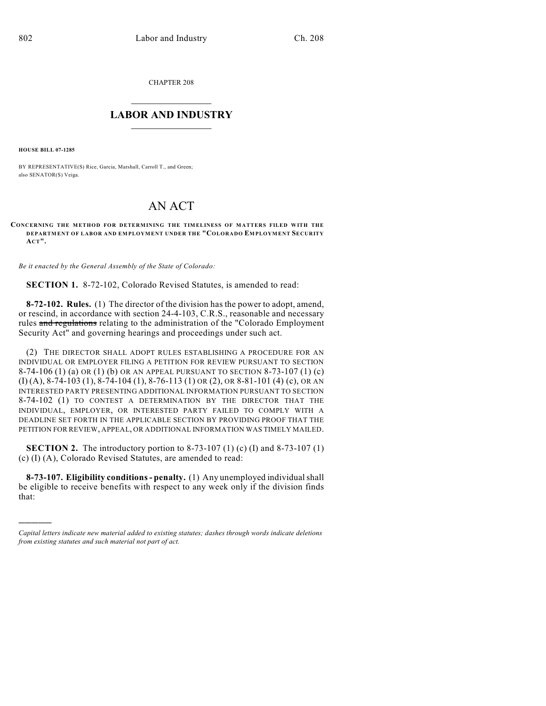CHAPTER 208

## $\overline{\phantom{a}}$  . The set of the set of the set of the set of the set of the set of the set of the set of the set of the set of the set of the set of the set of the set of the set of the set of the set of the set of the set o **LABOR AND INDUSTRY**  $\frac{1}{\sqrt{2}}$  ,  $\frac{1}{\sqrt{2}}$  ,  $\frac{1}{\sqrt{2}}$  ,  $\frac{1}{\sqrt{2}}$  ,  $\frac{1}{\sqrt{2}}$  ,  $\frac{1}{\sqrt{2}}$

**HOUSE BILL 07-1285**

)))))

BY REPRESENTATIVE(S) Rice, Garcia, Marshall, Carroll T., and Green; also SENATOR(S) Veiga.

## AN ACT

## **CONCERNING THE METHOD FOR DETERMINING THE TIMELINESS OF MATTERS FILED WITH THE DEPARTMENT OF LABOR AND EMPLOYMENT UNDER THE "COLORADO EMPLOYMENT SECURITY ACT".**

*Be it enacted by the General Assembly of the State of Colorado:*

**SECTION 1.** 8-72-102, Colorado Revised Statutes, is amended to read:

**8-72-102. Rules.** (1) The director of the division has the power to adopt, amend, or rescind, in accordance with section 24-4-103, C.R.S., reasonable and necessary rules and regulations relating to the administration of the "Colorado Employment Security Act" and governing hearings and proceedings under such act.

(2) THE DIRECTOR SHALL ADOPT RULES ESTABLISHING A PROCEDURE FOR AN INDIVIDUAL OR EMPLOYER FILING A PETITION FOR REVIEW PURSUANT TO SECTION 8-74-106 (1) (a) OR (1) (b) OR AN APPEAL PURSUANT TO SECTION 8-73-107 (1) (c) (I) (A), 8-74-103 (1), 8-74-104 (1), 8-76-113 (1) OR (2), OR 8-81-101 (4) (c), OR AN INTERESTED PARTY PRESENTING ADDITIONAL INFORMATION PURSUANT TO SECTION 8-74-102 (1) TO CONTEST A DETERMINATION BY THE DIRECTOR THAT THE INDIVIDUAL, EMPLOYER, OR INTERESTED PARTY FAILED TO COMPLY WITH A DEADLINE SET FORTH IN THE APPLICABLE SECTION BY PROVIDING PROOF THAT THE PETITION FOR REVIEW, APPEAL, OR ADDITIONAL INFORMATION WAS TIMELY MAILED.

**SECTION 2.** The introductory portion to 8-73-107 (1) (c) (I) and 8-73-107 (1) (c) (I) (A), Colorado Revised Statutes, are amended to read:

**8-73-107. Eligibility conditions - penalty.** (1) Any unemployed individual shall be eligible to receive benefits with respect to any week only if the division finds that:

*Capital letters indicate new material added to existing statutes; dashes through words indicate deletions from existing statutes and such material not part of act.*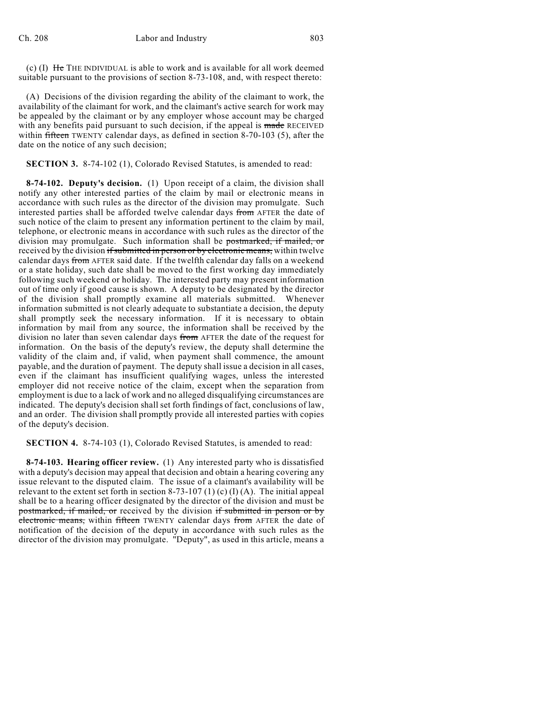(c) (I) He THE INDIVIDUAL is able to work and is available for all work deemed suitable pursuant to the provisions of section 8-73-108, and, with respect thereto:

(A) Decisions of the division regarding the ability of the claimant to work, the availability of the claimant for work, and the claimant's active search for work may be appealed by the claimant or by any employer whose account may be charged with any benefits paid pursuant to such decision, if the appeal is made RECEIVED within  $f$ ffteen TWENTY calendar days, as defined in section 8-70-103 (5), after the date on the notice of any such decision;

**SECTION 3.** 8-74-102 (1), Colorado Revised Statutes, is amended to read:

**8-74-102. Deputy's decision.** (1) Upon receipt of a claim, the division shall notify any other interested parties of the claim by mail or electronic means in accordance with such rules as the director of the division may promulgate. Such interested parties shall be afforded twelve calendar days from AFTER the date of such notice of the claim to present any information pertinent to the claim by mail, telephone, or electronic means in accordance with such rules as the director of the division may promulgate. Such information shall be postmarked, if mailed, or received by the division if submitted in person or by electronic means, within twelve calendar days from AFTER said date. If the twelfth calendar day falls on a weekend or a state holiday, such date shall be moved to the first working day immediately following such weekend or holiday. The interested party may present information out of time only if good cause is shown. A deputy to be designated by the director of the division shall promptly examine all materials submitted. Whenever information submitted is not clearly adequate to substantiate a decision, the deputy shall promptly seek the necessary information. If it is necessary to obtain information by mail from any source, the information shall be received by the division no later than seven calendar days from AFTER the date of the request for information. On the basis of the deputy's review, the deputy shall determine the validity of the claim and, if valid, when payment shall commence, the amount payable, and the duration of payment. The deputy shall issue a decision in all cases, even if the claimant has insufficient qualifying wages, unless the interested employer did not receive notice of the claim, except when the separation from employment is due to a lack of work and no alleged disqualifying circumstances are indicated. The deputy's decision shall set forth findings of fact, conclusions of law, and an order. The division shall promptly provide all interested parties with copies of the deputy's decision.

**SECTION 4.** 8-74-103 (1), Colorado Revised Statutes, is amended to read:

**8-74-103. Hearing officer review.** (1) Any interested party who is dissatisfied with a deputy's decision may appeal that decision and obtain a hearing covering any issue relevant to the disputed claim. The issue of a claimant's availability will be relevant to the extent set forth in section 8-73-107 (1) (c) (I) (A). The initial appeal shall be to a hearing officer designated by the director of the division and must be postmarked, if mailed, or received by the division if submitted in person or by electronic means, within fifteen TWENTY calendar days from AFTER the date of notification of the decision of the deputy in accordance with such rules as the director of the division may promulgate. "Deputy", as used in this article, means a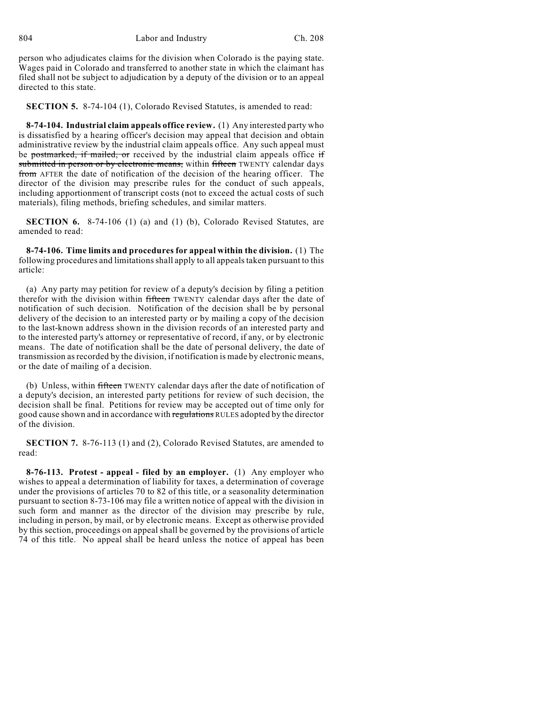804 Labor and Industry Ch. 208

person who adjudicates claims for the division when Colorado is the paying state. Wages paid in Colorado and transferred to another state in which the claimant has filed shall not be subject to adjudication by a deputy of the division or to an appeal directed to this state.

**SECTION 5.** 8-74-104 (1), Colorado Revised Statutes, is amended to read:

**8-74-104. Industrial claim appeals office review.** (1) Any interested party who is dissatisfied by a hearing officer's decision may appeal that decision and obtain administrative review by the industrial claim appeals office. Any such appeal must be postmarked, if mailed, or received by the industrial claim appeals office if submitted in person or by electronic means, within fifteen TWENTY calendar days from AFTER the date of notification of the decision of the hearing officer. The director of the division may prescribe rules for the conduct of such appeals, including apportionment of transcript costs (not to exceed the actual costs of such materials), filing methods, briefing schedules, and similar matters.

**SECTION 6.** 8-74-106 (1) (a) and (1) (b), Colorado Revised Statutes, are amended to read:

**8-74-106. Time limits and procedures for appeal within the division.** (1) The following procedures and limitations shall apply to all appeals taken pursuant to this article:

(a) Any party may petition for review of a deputy's decision by filing a petition therefor with the division within fifteen TWENTY calendar days after the date of notification of such decision. Notification of the decision shall be by personal delivery of the decision to an interested party or by mailing a copy of the decision to the last-known address shown in the division records of an interested party and to the interested party's attorney or representative of record, if any, or by electronic means. The date of notification shall be the date of personal delivery, the date of transmission as recorded by the division, if notification is made by electronic means, or the date of mailing of a decision.

(b) Unless, within fifteen TWENTY calendar days after the date of notification of a deputy's decision, an interested party petitions for review of such decision, the decision shall be final. Petitions for review may be accepted out of time only for good cause shown and in accordance with regulations RULES adopted by the director of the division.

**SECTION 7.** 8-76-113 (1) and (2), Colorado Revised Statutes, are amended to read:

**8-76-113. Protest - appeal - filed by an employer.** (1) Any employer who wishes to appeal a determination of liability for taxes, a determination of coverage under the provisions of articles 70 to 82 of this title, or a seasonality determination pursuant to section 8-73-106 may file a written notice of appeal with the division in such form and manner as the director of the division may prescribe by rule, including in person, by mail, or by electronic means. Except as otherwise provided by this section, proceedings on appeal shall be governed by the provisions of article 74 of this title. No appeal shall be heard unless the notice of appeal has been